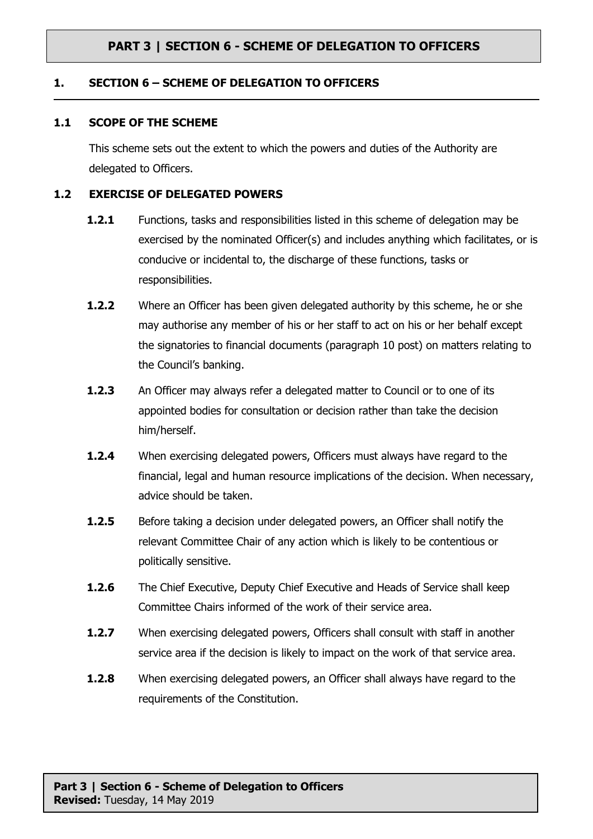### **1. SECTION 6 – SCHEME OF DELEGATION TO OFFICERS**

#### **1.1 SCOPE OF THE SCHEME**

This scheme sets out the extent to which the powers and duties of the Authority are delegated to Officers.

#### **1.2 EXERCISE OF DELEGATED POWERS**

- **1.2.1** Functions, tasks and responsibilities listed in this scheme of delegation may be exercised by the nominated Officer(s) and includes anything which facilitates, or is conducive or incidental to, the discharge of these functions, tasks or responsibilities.
- **1.2.2** Where an Officer has been given delegated authority by this scheme, he or she may authorise any member of his or her staff to act on his or her behalf except the signatories to financial documents (paragraph 10 post) on matters relating to the Council's banking.
- **1.2.3** An Officer may always refer a delegated matter to Council or to one of its appointed bodies for consultation or decision rather than take the decision him/herself.
- **1.2.4** When exercising delegated powers, Officers must always have regard to the financial, legal and human resource implications of the decision. When necessary, advice should be taken.
- **1.2.5** Before taking a decision under delegated powers, an Officer shall notify the relevant Committee Chair of any action which is likely to be contentious or politically sensitive.
- **1.2.6** The Chief Executive, Deputy Chief Executive and Heads of Service shall keep Committee Chairs informed of the work of their service area.
- **1.2.7** When exercising delegated powers, Officers shall consult with staff in another service area if the decision is likely to impact on the work of that service area.
- **1.2.8** When exercising delegated powers, an Officer shall always have regard to the requirements of the Constitution.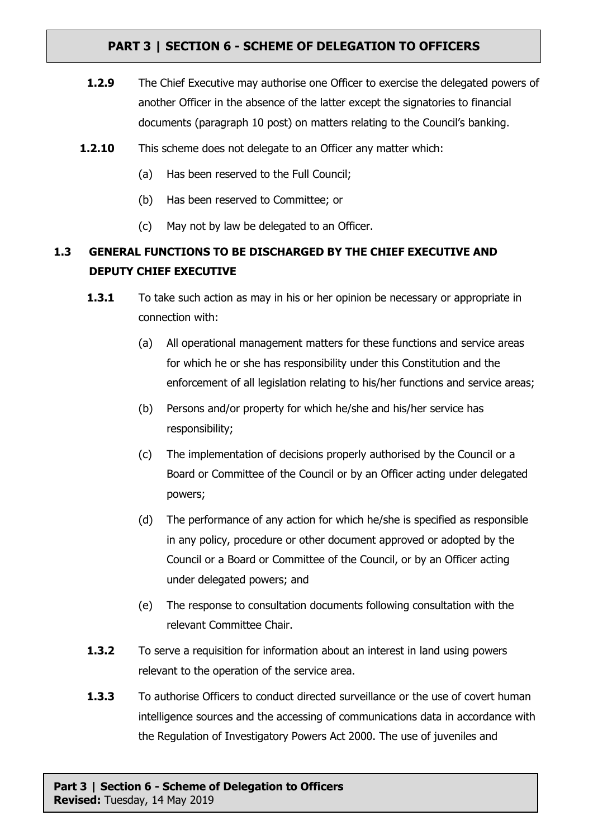- **1.2.9** The Chief Executive may authorise one Officer to exercise the delegated powers of another Officer in the absence of the latter except the signatories to financial documents (paragraph 10 post) on matters relating to the Council's banking.
- **1.2.10** This scheme does not delegate to an Officer any matter which:
	- (a) Has been reserved to the Full Council;
	- (b) Has been reserved to Committee; or
	- (c) May not by law be delegated to an Officer.

# **1.3 GENERAL FUNCTIONS TO BE DISCHARGED BY THE CHIEF EXECUTIVE AND DEPUTY CHIEF EXECUTIVE**

- **1.3.1** To take such action as may in his or her opinion be necessary or appropriate in connection with:
	- (a) All operational management matters for these functions and service areas for which he or she has responsibility under this Constitution and the enforcement of all legislation relating to his/her functions and service areas;
	- (b) Persons and/or property for which he/she and his/her service has responsibility;
	- (c) The implementation of decisions properly authorised by the Council or a Board or Committee of the Council or by an Officer acting under delegated powers;
	- (d) The performance of any action for which he/she is specified as responsible in any policy, procedure or other document approved or adopted by the Council or a Board or Committee of the Council, or by an Officer acting under delegated powers; and
	- (e) The response to consultation documents following consultation with the relevant Committee Chair.
- **1.3.2** To serve a requisition for information about an interest in land using powers relevant to the operation of the service area.
- **1.3.3** To authorise Officers to conduct directed surveillance or the use of covert human intelligence sources and the accessing of communications data in accordance with the Regulation of Investigatory Powers Act 2000. The use of juveniles and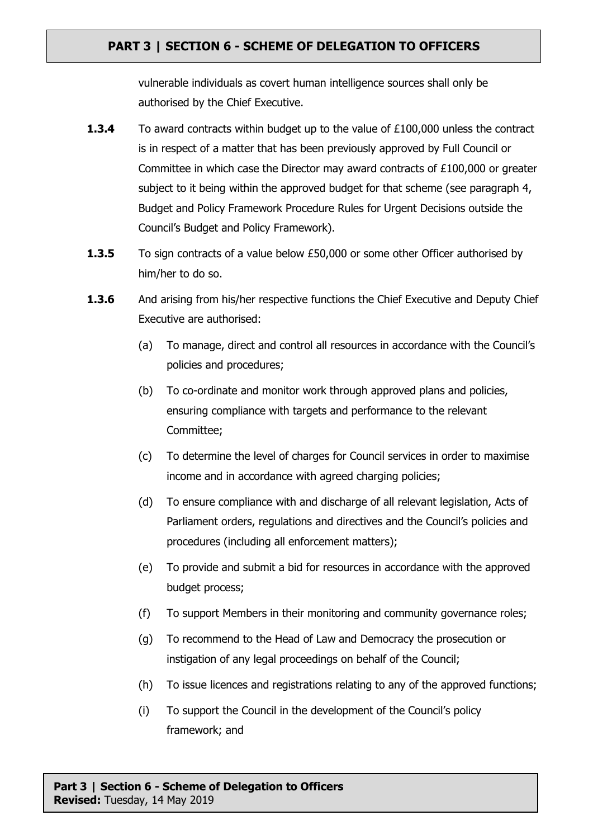vulnerable individuals as covert human intelligence sources shall only be authorised by the Chief Executive.

- **1.3.4** To award contracts within budget up to the value of £100,000 unless the contract is in respect of a matter that has been previously approved by Full Council or Committee in which case the Director may award contracts of £100,000 or greater subject to it being within the approved budget for that scheme (see paragraph 4, Budget and Policy Framework Procedure Rules for Urgent Decisions outside the Council's Budget and Policy Framework).
- **1.3.5** To sign contracts of a value below £50,000 or some other Officer authorised by him/her to do so.
- **1.3.6** And arising from his/her respective functions the Chief Executive and Deputy Chief Executive are authorised:
	- (a) To manage, direct and control all resources in accordance with the Council's policies and procedures;
	- (b) To co-ordinate and monitor work through approved plans and policies, ensuring compliance with targets and performance to the relevant Committee;
	- (c) To determine the level of charges for Council services in order to maximise income and in accordance with agreed charging policies;
	- (d) To ensure compliance with and discharge of all relevant legislation, Acts of Parliament orders, regulations and directives and the Council's policies and procedures (including all enforcement matters);
	- (e) To provide and submit a bid for resources in accordance with the approved budget process;
	- (f) To support Members in their monitoring and community governance roles;
	- (g) To recommend to the Head of Law and Democracy the prosecution or instigation of any legal proceedings on behalf of the Council;
	- (h) To issue licences and registrations relating to any of the approved functions;
	- (i) To support the Council in the development of the Council's policy framework; and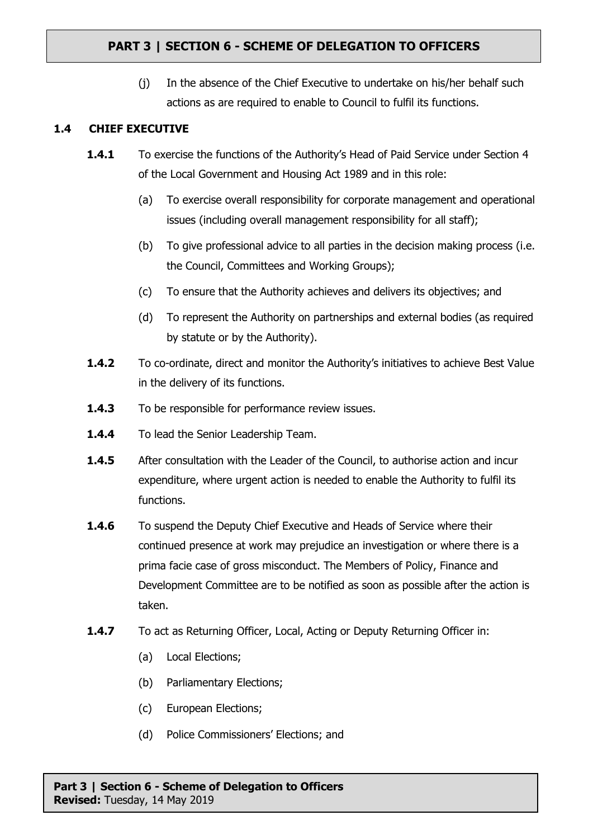(j) In the absence of the Chief Executive to undertake on his/her behalf such actions as are required to enable to Council to fulfil its functions.

### **1.4 CHIEF EXECUTIVE**

- **1.4.1** To exercise the functions of the Authority's Head of Paid Service under Section 4 of the Local Government and Housing Act 1989 and in this role:
	- (a) To exercise overall responsibility for corporate management and operational issues (including overall management responsibility for all staff);
	- (b) To give professional advice to all parties in the decision making process (i.e. the Council, Committees and Working Groups);
	- (c) To ensure that the Authority achieves and delivers its objectives; and
	- (d) To represent the Authority on partnerships and external bodies (as required by statute or by the Authority).
- **1.4.2** To co-ordinate, direct and monitor the Authority's initiatives to achieve Best Value in the delivery of its functions.
- **1.4.3** To be responsible for performance review issues.
- **1.4.4** To lead the Senior Leadership Team.
- **1.4.5** After consultation with the Leader of the Council, to authorise action and incur expenditure, where urgent action is needed to enable the Authority to fulfil its functions.
- **1.4.6** To suspend the Deputy Chief Executive and Heads of Service where their continued presence at work may prejudice an investigation or where there is a prima facie case of gross misconduct. The Members of Policy, Finance and Development Committee are to be notified as soon as possible after the action is taken.
- **1.4.7** To act as Returning Officer, Local, Acting or Deputy Returning Officer in:
	- (a) Local Elections;
	- (b) Parliamentary Elections;
	- (c) European Elections;
	- (d) Police Commissioners' Elections; and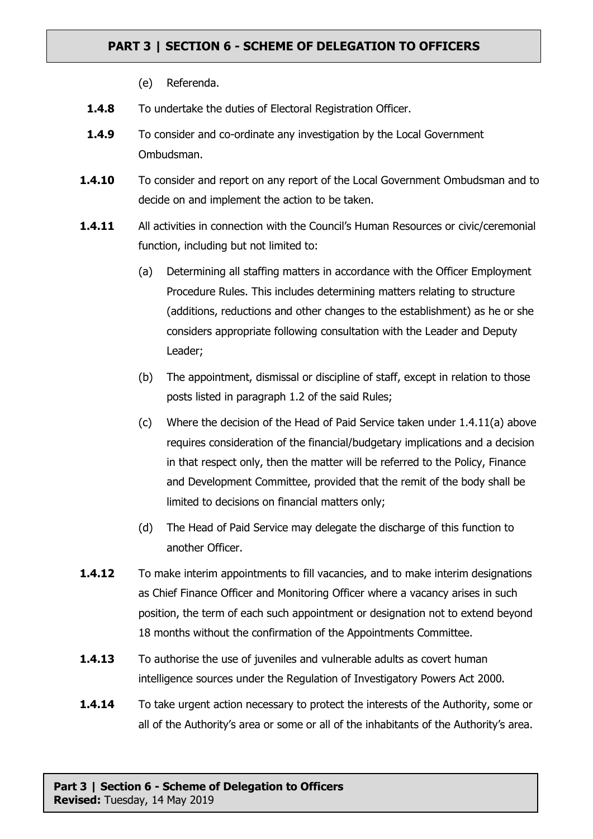- (e) Referenda.
- **1.4.8** To undertake the duties of Electoral Registration Officer.
- **1.4.9** To consider and co-ordinate any investigation by the Local Government Ombudsman.
- **1.4.10** To consider and report on any report of the Local Government Ombudsman and to decide on and implement the action to be taken.
- **1.4.11** All activities in connection with the Council's Human Resources or civic/ceremonial function, including but not limited to:
	- (a) Determining all staffing matters in accordance with the Officer Employment Procedure Rules. This includes determining matters relating to structure (additions, reductions and other changes to the establishment) as he or she considers appropriate following consultation with the Leader and Deputy Leader;
	- (b) The appointment, dismissal or discipline of staff, except in relation to those posts listed in paragraph 1.2 of the said Rules;
	- (c) Where the decision of the Head of Paid Service taken under 1.4.11(a) above requires consideration of the financial/budgetary implications and a decision in that respect only, then the matter will be referred to the Policy, Finance and Development Committee, provided that the remit of the body shall be limited to decisions on financial matters only;
	- (d) The Head of Paid Service may delegate the discharge of this function to another Officer.
- **1.4.12** To make interim appointments to fill vacancies, and to make interim designations as Chief Finance Officer and Monitoring Officer where a vacancy arises in such position, the term of each such appointment or designation not to extend beyond 18 months without the confirmation of the Appointments Committee.
- **1.4.13** To authorise the use of juveniles and vulnerable adults as covert human intelligence sources under the Regulation of Investigatory Powers Act 2000.
- **1.4.14** To take urgent action necessary to protect the interests of the Authority, some or all of the Authority's area or some or all of the inhabitants of the Authority's area.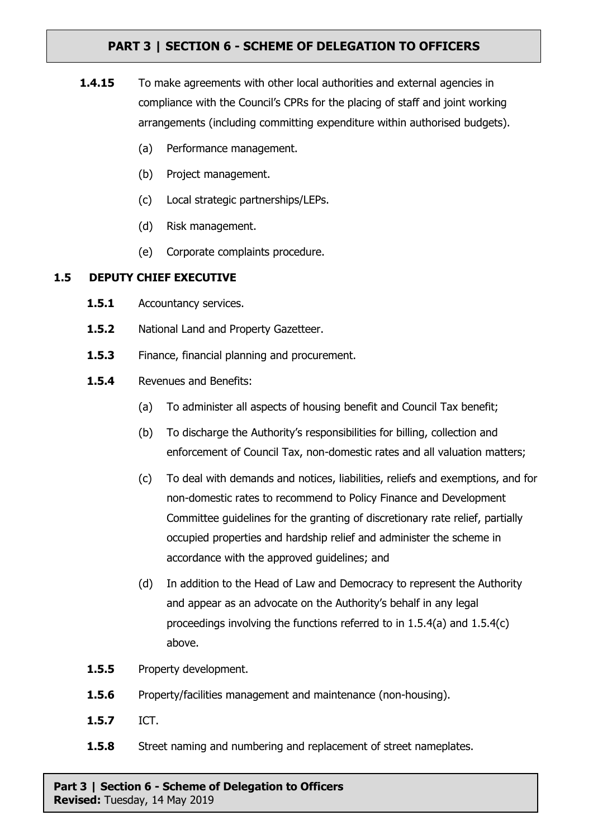- **1.4.15** To make agreements with other local authorities and external agencies in compliance with the Council's CPRs for the placing of staff and joint working arrangements (including committing expenditure within authorised budgets).
	- (a) Performance management.
	- (b) Project management.
	- (c) Local strategic partnerships/LEPs.
	- (d) Risk management.
	- (e) Corporate complaints procedure.

### **1.5 DEPUTY CHIEF EXECUTIVE**

- 1.5.1 Accountancy services.
- **1.5.2** National Land and Property Gazetteer.
- **1.5.3** Finance, financial planning and procurement.
- **1.5.4** Revenues and Benefits:
	- (a) To administer all aspects of housing benefit and Council Tax benefit;
	- (b) To discharge the Authority's responsibilities for billing, collection and enforcement of Council Tax, non-domestic rates and all valuation matters;
	- (c) To deal with demands and notices, liabilities, reliefs and exemptions, and for non-domestic rates to recommend to Policy Finance and Development Committee guidelines for the granting of discretionary rate relief, partially occupied properties and hardship relief and administer the scheme in accordance with the approved guidelines; and
	- (d) In addition to the Head of Law and Democracy to represent the Authority and appear as an advocate on the Authority's behalf in any legal proceedings involving the functions referred to in 1.5.4(a) and 1.5.4(c) above.
- 1.5.5 Property development.
- **1.5.6** Property/facilities management and maintenance (non-housing).
- **1.5.7** ICT.
- **1.5.8** Street naming and numbering and replacement of street nameplates.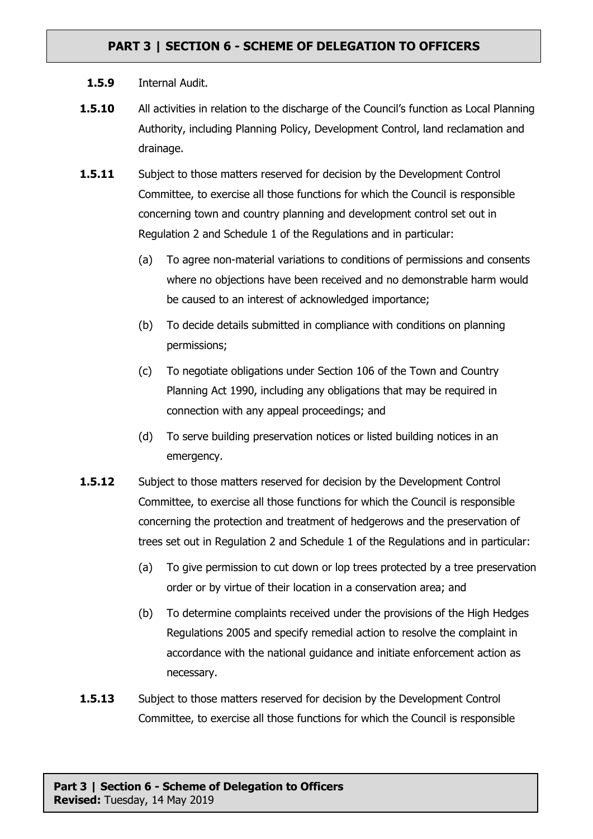#### **1.5.9** Internal Audit.

- **1.5.10** All activities in relation to the discharge of the Council's function as Local Planning Authority, including Planning Policy, Development Control, land reclamation and drainage.
- **1.5.11** Subject to those matters reserved for decision by the Development Control Committee, to exercise all those functions for which the Council is responsible concerning town and country planning and development control set out in Regulation 2 and Schedule 1 of the Regulations and in particular:
	- (a) To agree non-material variations to conditions of permissions and consents where no objections have been received and no demonstrable harm would be caused to an interest of acknowledged importance;
	- (b) To decide details submitted in compliance with conditions on planning permissions;
	- (c) To negotiate obligations under Section 106 of the Town and Country Planning Act 1990, including any obligations that may be required in connection with any appeal proceedings; and
	- (d) To serve building preservation notices or listed building notices in an emergency.
- **1.5.12** Subject to those matters reserved for decision by the Development Control Committee, to exercise all those functions for which the Council is responsible concerning the protection and treatment of hedgerows and the preservation of trees set out in Regulation 2 and Schedule 1 of the Regulations and in particular:
	- (a) To give permission to cut down or lop trees protected by a tree preservation order or by virtue of their location in a conservation area; and
	- (b) To determine complaints received under the provisions of the High Hedges Regulations 2005 and specify remedial action to resolve the complaint in accordance with the national guidance and initiate enforcement action as necessary.
- **1.5.13** Subject to those matters reserved for decision by the Development Control Committee, to exercise all those functions for which the Council is responsible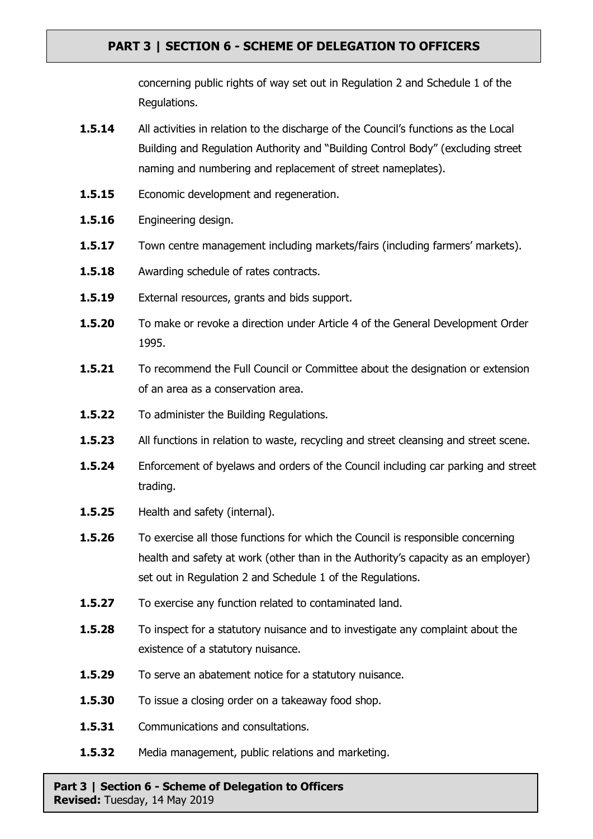concerning public rights of way set out in Regulation 2 and Schedule 1 of the Regulations.

- **1.5.14** All activities in relation to the discharge of the Council's functions as the Local Building and Regulation Authority and "Building Control Body" (excluding street naming and numbering and replacement of street nameplates).
- **1.5.15** Economic development and regeneration.
- **1.5.16** Engineering design.
- **1.5.17** Town centre management including markets/fairs (including farmers' markets).
- **1.5.18** Awarding schedule of rates contracts.
- **1.5.19** External resources, grants and bids support.
- **1.5.20** To make or revoke a direction under Article 4 of the General Development Order 1995.
- **1.5.21** To recommend the Full Council or Committee about the designation or extension of an area as a conservation area.
- **1.5.22** To administer the Building Regulations.
- **1.5.23** All functions in relation to waste, recycling and street cleansing and street scene.
- **1.5.24** Enforcement of byelaws and orders of the Council including car parking and street trading.
- **1.5.25** Health and safety (internal).
- **1.5.26** To exercise all those functions for which the Council is responsible concerning health and safety at work (other than in the Authority's capacity as an employer) set out in Regulation 2 and Schedule 1 of the Regulations.
- **1.5.27** To exercise any function related to contaminated land.
- **1.5.28** To inspect for a statutory nuisance and to investigate any complaint about the existence of a statutory nuisance.
- **1.5.29** To serve an abatement notice for a statutory nuisance.
- **1.5.30** To issue a closing order on a takeaway food shop.
- **1.5.31** Communications and consultations.
- **1.5.32** Media management, public relations and marketing.

### **Part 3 | Section 6 - Scheme of Delegation to Officers Revised:** Tuesday, 14 May 2019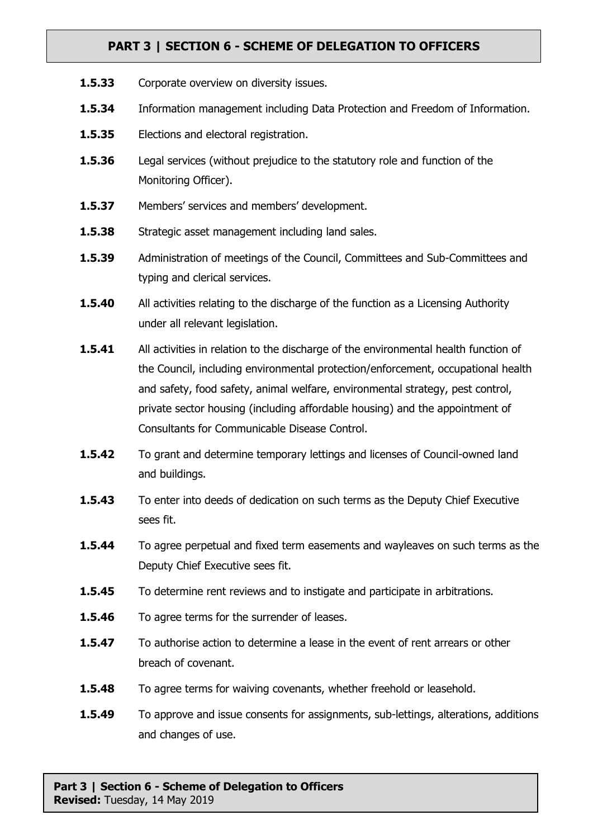- **1.5.33** Corporate overview on diversity issues.
- **1.5.34** Information management including Data Protection and Freedom of Information.
- **1.5.35** Elections and electoral registration.
- **1.5.36** Legal services (without prejudice to the statutory role and function of the Monitoring Officer).
- **1.5.37** Members' services and members' development.
- **1.5.38** Strategic asset management including land sales.
- **1.5.39** Administration of meetings of the Council, Committees and Sub-Committees and typing and clerical services.
- **1.5.40** All activities relating to the discharge of the function as a Licensing Authority under all relevant legislation.
- **1.5.41** All activities in relation to the discharge of the environmental health function of the Council, including environmental protection/enforcement, occupational health and safety, food safety, animal welfare, environmental strategy, pest control, private sector housing (including affordable housing) and the appointment of Consultants for Communicable Disease Control.
- **1.5.42** To grant and determine temporary lettings and licenses of Council-owned land and buildings.
- **1.5.43** To enter into deeds of dedication on such terms as the Deputy Chief Executive sees fit.
- **1.5.44** To agree perpetual and fixed term easements and wayleaves on such terms as the Deputy Chief Executive sees fit.
- **1.5.45** To determine rent reviews and to instigate and participate in arbitrations.
- **1.5.46** To agree terms for the surrender of leases.
- **1.5.47** To authorise action to determine a lease in the event of rent arrears or other breach of covenant.
- **1.5.48** To agree terms for waiving covenants, whether freehold or leasehold.
- **1.5.49** To approve and issue consents for assignments, sub-lettings, alterations, additions and changes of use.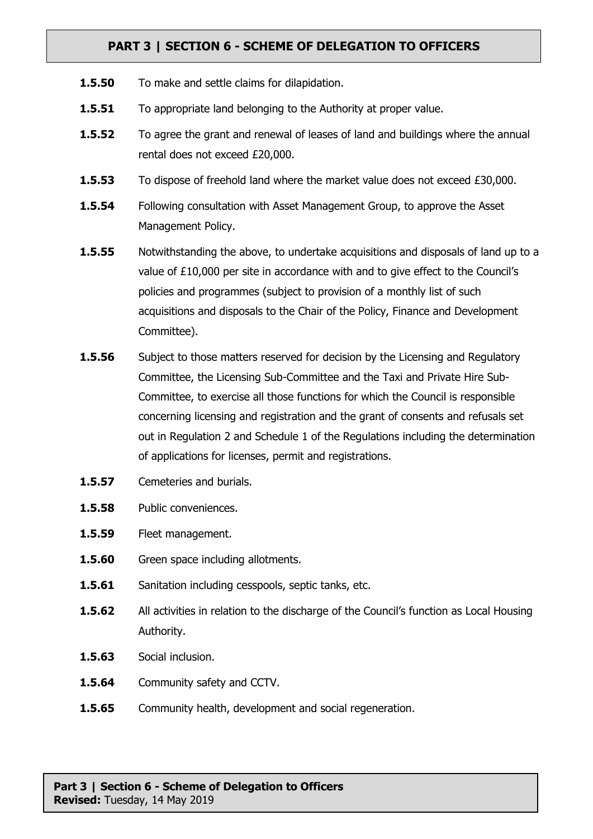- **1.5.50** To make and settle claims for dilapidation.
- **1.5.51** To appropriate land belonging to the Authority at proper value.
- **1.5.52** To agree the grant and renewal of leases of land and buildings where the annual rental does not exceed £20,000.
- **1.5.53** To dispose of freehold land where the market value does not exceed £30,000.
- **1.5.54** Following consultation with Asset Management Group, to approve the Asset Management Policy.
- **1.5.55** Notwithstanding the above, to undertake acquisitions and disposals of land up to a value of £10,000 per site in accordance with and to give effect to the Council's policies and programmes (subject to provision of a monthly list of such acquisitions and disposals to the Chair of the Policy, Finance and Development Committee).
- **1.5.56** Subject to those matters reserved for decision by the Licensing and Regulatory Committee, the Licensing Sub-Committee and the Taxi and Private Hire Sub-Committee, to exercise all those functions for which the Council is responsible concerning licensing and registration and the grant of consents and refusals set out in Regulation 2 and Schedule 1 of the Regulations including the determination of applications for licenses, permit and registrations.
- **1.5.57** Cemeteries and burials.
- **1.5.58** Public conveniences.
- **1.5.59** Fleet management.
- 1.5.60 Green space including allotments.
- **1.5.61** Sanitation including cesspools, septic tanks, etc.
- **1.5.62** All activities in relation to the discharge of the Council's function as Local Housing Authority.
- **1.5.63** Social inclusion.
- 1.5.64 Community safety and CCTV.
- **1.5.65** Community health, development and social regeneration.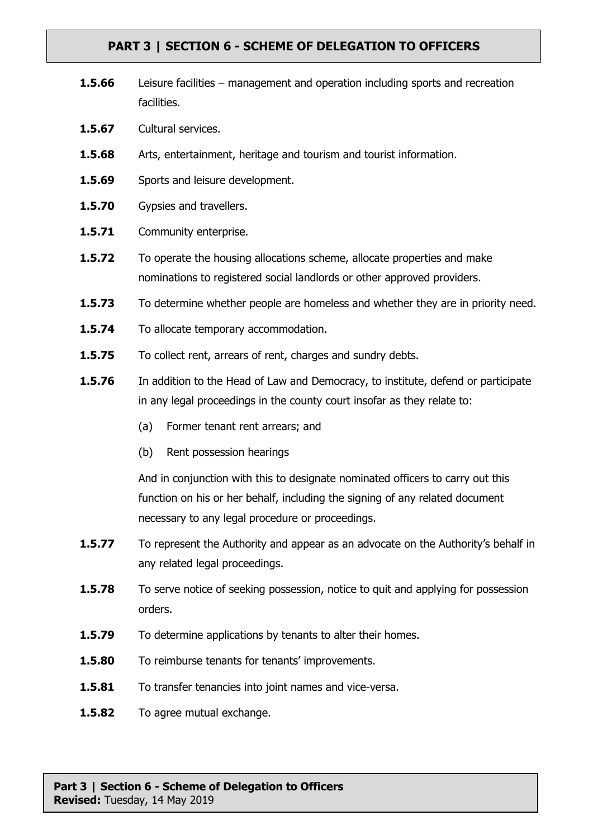- **1.5.66** Leisure facilities management and operation including sports and recreation facilities.
- **1.5.67** Cultural services.
- **1.5.68** Arts, entertainment, heritage and tourism and tourist information.
- 1.5.69 Sports and leisure development.
- **1.5.70** Gypsies and travellers.
- 1.5.71 Community enterprise.
- **1.5.72** To operate the housing allocations scheme, allocate properties and make nominations to registered social landlords or other approved providers.
- **1.5.73** To determine whether people are homeless and whether they are in priority need.
- **1.5.74** To allocate temporary accommodation.
- **1.5.75** To collect rent, arrears of rent, charges and sundry debts.
- **1.5.76** In addition to the Head of Law and Democracy, to institute, defend or participate in any legal proceedings in the county court insofar as they relate to:
	- (a) Former tenant rent arrears; and
	- (b) Rent possession hearings

And in conjunction with this to designate nominated officers to carry out this function on his or her behalf, including the signing of any related document necessary to any legal procedure or proceedings.

- **1.5.77** To represent the Authority and appear as an advocate on the Authority's behalf in any related legal proceedings.
- **1.5.78** To serve notice of seeking possession, notice to quit and applying for possession orders.
- **1.5.79** To determine applications by tenants to alter their homes.
- **1.5.80** To reimburse tenants for tenants' improvements.
- **1.5.81** To transfer tenancies into joint names and vice-versa.
- **1.5.82** To agree mutual exchange.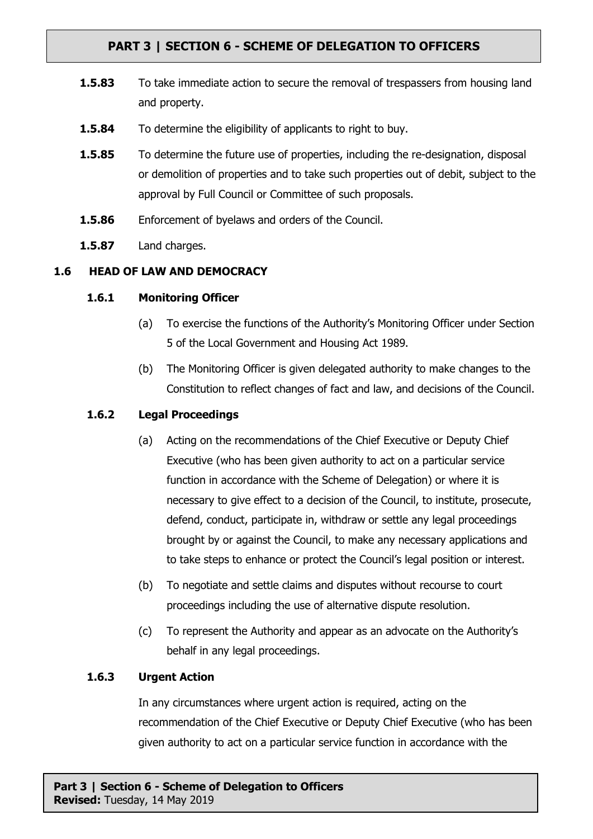- **1.5.83** To take immediate action to secure the removal of trespassers from housing land and property.
- **1.5.84** To determine the eligibility of applicants to right to buy.
- **1.5.85** To determine the future use of properties, including the re-designation, disposal or demolition of properties and to take such properties out of debit, subject to the approval by Full Council or Committee of such proposals.
- **1.5.86** Enforcement of byelaws and orders of the Council.
- **1.5.87** Land charges.

### **1.6 HEAD OF LAW AND DEMOCRACY**

### **1.6.1 Monitoring Officer**

- (a) To exercise the functions of the Authority's Monitoring Officer under Section 5 of the Local Government and Housing Act 1989.
- (b) The Monitoring Officer is given delegated authority to make changes to the Constitution to reflect changes of fact and law, and decisions of the Council.

### **1.6.2 Legal Proceedings**

- (a) Acting on the recommendations of the Chief Executive or Deputy Chief Executive (who has been given authority to act on a particular service function in accordance with the Scheme of Delegation) or where it is necessary to give effect to a decision of the Council, to institute, prosecute, defend, conduct, participate in, withdraw or settle any legal proceedings brought by or against the Council, to make any necessary applications and to take steps to enhance or protect the Council's legal position or interest.
- (b) To negotiate and settle claims and disputes without recourse to court proceedings including the use of alternative dispute resolution.
- (c) To represent the Authority and appear as an advocate on the Authority's behalf in any legal proceedings.

### **1.6.3 Urgent Action**

In any circumstances where urgent action is required, acting on the recommendation of the Chief Executive or Deputy Chief Executive (who has been given authority to act on a particular service function in accordance with the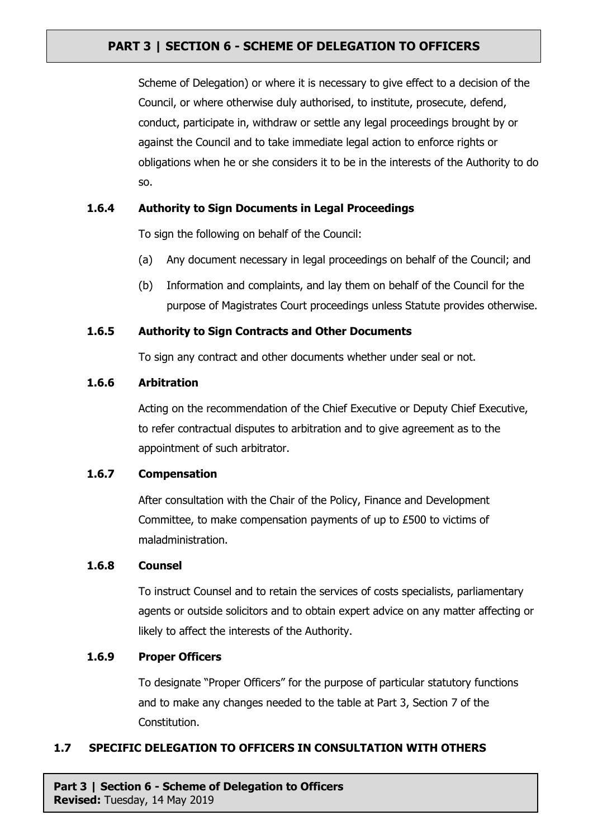Scheme of Delegation) or where it is necessary to give effect to a decision of the Council, or where otherwise duly authorised, to institute, prosecute, defend, conduct, participate in, withdraw or settle any legal proceedings brought by or against the Council and to take immediate legal action to enforce rights or obligations when he or she considers it to be in the interests of the Authority to do so.

### **1.6.4 Authority to Sign Documents in Legal Proceedings**

To sign the following on behalf of the Council:

- (a) Any document necessary in legal proceedings on behalf of the Council; and
- (b) Information and complaints, and lay them on behalf of the Council for the purpose of Magistrates Court proceedings unless Statute provides otherwise.

### **1.6.5 Authority to Sign Contracts and Other Documents**

To sign any contract and other documents whether under seal or not.

#### **1.6.6 Arbitration**

Acting on the recommendation of the Chief Executive or Deputy Chief Executive, to refer contractual disputes to arbitration and to give agreement as to the appointment of such arbitrator.

### **1.6.7 Compensation**

After consultation with the Chair of the Policy, Finance and Development Committee, to make compensation payments of up to £500 to victims of maladministration.

#### **1.6.8 Counsel**

To instruct Counsel and to retain the services of costs specialists, parliamentary agents or outside solicitors and to obtain expert advice on any matter affecting or likely to affect the interests of the Authority.

#### **1.6.9 Proper Officers**

To designate "Proper Officers" for the purpose of particular statutory functions and to make any changes needed to the table at Part 3, Section 7 of the Constitution.

### **1.7 SPECIFIC DELEGATION TO OFFICERS IN CONSULTATION WITH OTHERS**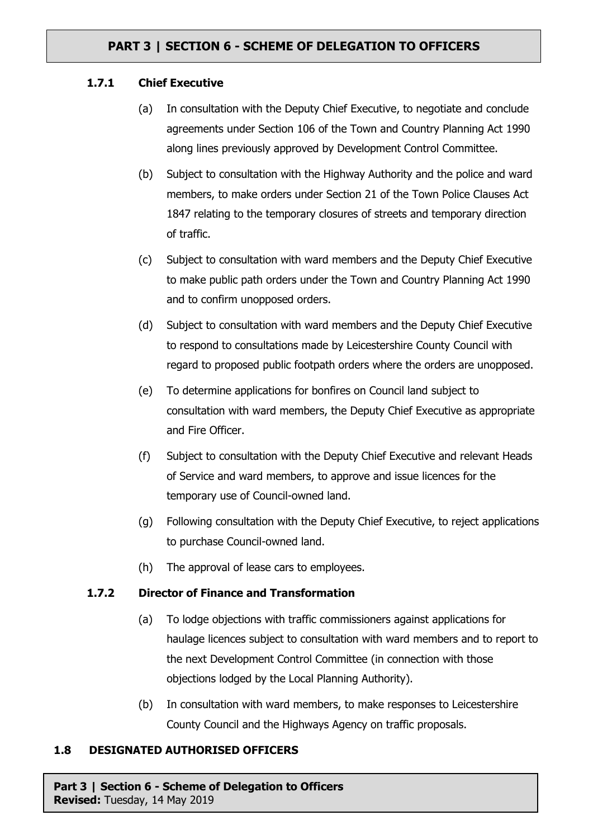### **1.7.1 Chief Executive**

- (a) In consultation with the Deputy Chief Executive, to negotiate and conclude agreements under Section 106 of the Town and Country Planning Act 1990 along lines previously approved by Development Control Committee.
- (b) Subject to consultation with the Highway Authority and the police and ward members, to make orders under Section 21 of the Town Police Clauses Act 1847 relating to the temporary closures of streets and temporary direction of traffic.
- (c) Subject to consultation with ward members and the Deputy Chief Executive to make public path orders under the Town and Country Planning Act 1990 and to confirm unopposed orders.
- (d) Subject to consultation with ward members and the Deputy Chief Executive to respond to consultations made by Leicestershire County Council with regard to proposed public footpath orders where the orders are unopposed.
- (e) To determine applications for bonfires on Council land subject to consultation with ward members, the Deputy Chief Executive as appropriate and Fire Officer.
- (f) Subject to consultation with the Deputy Chief Executive and relevant Heads of Service and ward members, to approve and issue licences for the temporary use of Council-owned land.
- (g) Following consultation with the Deputy Chief Executive, to reject applications to purchase Council-owned land.
- (h) The approval of lease cars to employees.

### **1.7.2 Director of Finance and Transformation**

- (a) To lodge objections with traffic commissioners against applications for haulage licences subject to consultation with ward members and to report to the next Development Control Committee (in connection with those objections lodged by the Local Planning Authority).
- (b) In consultation with ward members, to make responses to Leicestershire County Council and the Highways Agency on traffic proposals.

### **1.8 DESIGNATED AUTHORISED OFFICERS**

**Part 3 | Section 6 - Scheme of Delegation to Officers Revised:** Tuesday, 14 May 2019